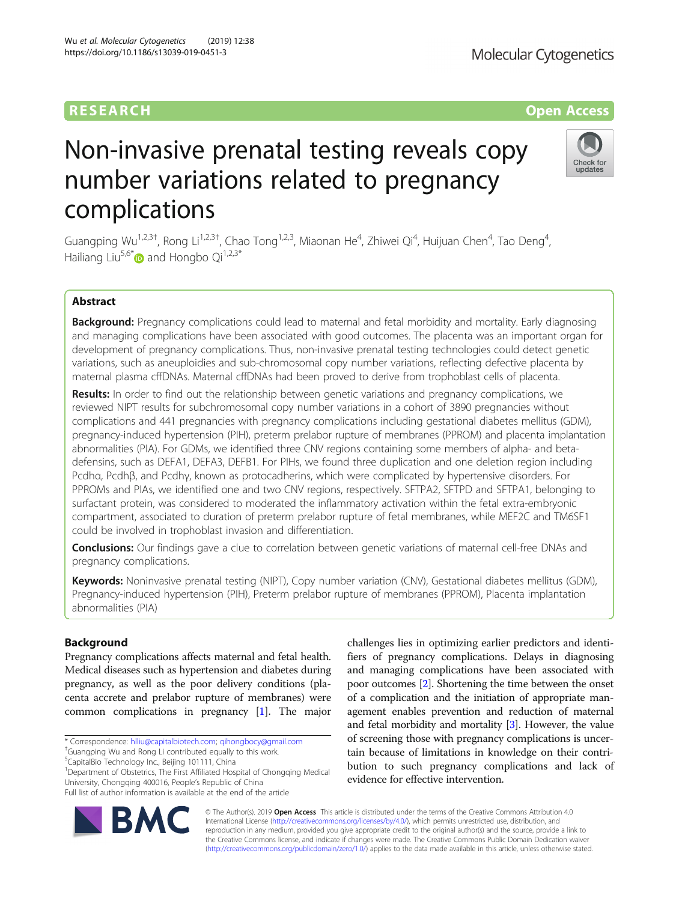# Non-invasive prenatal testing reveals copy number variations related to pregnancy complications

Guangping Wu<sup>1,2,3†</sup>, Rong Li<sup>1,2,3†</sup>, Chao Tong<sup>1,2,3</sup>, Miaonan He<sup>4</sup>, Zhiwei Qi<sup>4</sup>, Huijuan Chen<sup>4</sup>, Tao Deng<sup>4</sup> , Hailiang Liu<sup>5,6\*</sup> and Hongbo Qi<sup>1,2,3\*</sup>

# Abstract

Background: Pregnancy complications could lead to maternal and fetal morbidity and mortality. Early diagnosing and managing complications have been associated with good outcomes. The placenta was an important organ for development of pregnancy complications. Thus, non-invasive prenatal testing technologies could detect genetic variations, such as aneuploidies and sub-chromosomal copy number variations, reflecting defective placenta by maternal plasma cffDNAs. Maternal cffDNAs had been proved to derive from trophoblast cells of placenta.

Results: In order to find out the relationship between genetic variations and pregnancy complications, we reviewed NIPT results for subchromosomal copy number variations in a cohort of 3890 pregnancies without complications and 441 pregnancies with pregnancy complications including gestational diabetes mellitus (GDM), pregnancy-induced hypertension (PIH), preterm prelabor rupture of membranes (PPROM) and placenta implantation abnormalities (PIA). For GDMs, we identified three CNV regions containing some members of alpha- and betadefensins, such as DEFA1, DEFA3, DEFB1. For PIHs, we found three duplication and one deletion region including Pcdhα, Pcdhβ, and Pcdhγ, known as protocadherins, which were complicated by hypertensive disorders. For PPROMs and PIAs, we identified one and two CNV regions, respectively. SFTPA2, SFTPD and SFTPA1, belonging to surfactant protein, was considered to moderated the inflammatory activation within the fetal extra-embryonic compartment, associated to duration of preterm prelabor rupture of fetal membranes, while MEF2C and TM6SF1 could be involved in trophoblast invasion and differentiation.

**Conclusions:** Our findings gave a clue to correlation between genetic variations of maternal cell-free DNAs and pregnancy complications.

Keywords: Noninvasive prenatal testing (NIPT), Copy number variation (CNV), Gestational diabetes mellitus (GDM), Pregnancy-induced hypertension (PIH), Preterm prelabor rupture of membranes (PPROM), Placenta implantation abnormalities (PIA)

# Background

Pregnancy complications affects maternal and fetal health. Medical diseases such as hypertension and diabetes during pregnancy, as well as the poor delivery conditions (placenta accrete and prelabor rupture of membranes) were common complications in pregnancy [[1](#page-7-0)]. The major

\* Correspondence: [hlliu@capitalbiotech.com](mailto:hlliu@capitalbiotech.com); [qihongbocy@gmail.com](mailto:qihongbocy@gmail.com) †

<sup>1</sup>Department of Obstetrics, The First Affiliated Hospital of Chongqing Medical University, Chongqing 400016, People's Republic of China Full list of author information is available at the end of the article

and fetal morbidity and mortality [\[3\]](#page-7-0). However, the value of screening those with pregnancy complications is uncertain because of limitations in knowledge on their contribution to such pregnancy complications and lack of evidence for effective intervention. © The Author(s). 2019 **Open Access** This article is distributed under the terms of the Creative Commons Attribution 4.0

challenges lies in optimizing earlier predictors and identifiers of pregnancy complications. Delays in diagnosing and managing complications have been associated with poor outcomes [[2\]](#page-7-0). Shortening the time between the onset of a complication and the initiation of appropriate management enables prevention and reduction of maternal









<sup>&</sup>lt;sup>+</sup>Guangping Wu and Rong Li contributed equally to this work.

<sup>5</sup> CapitalBio Technology Inc., Beijing 101111, China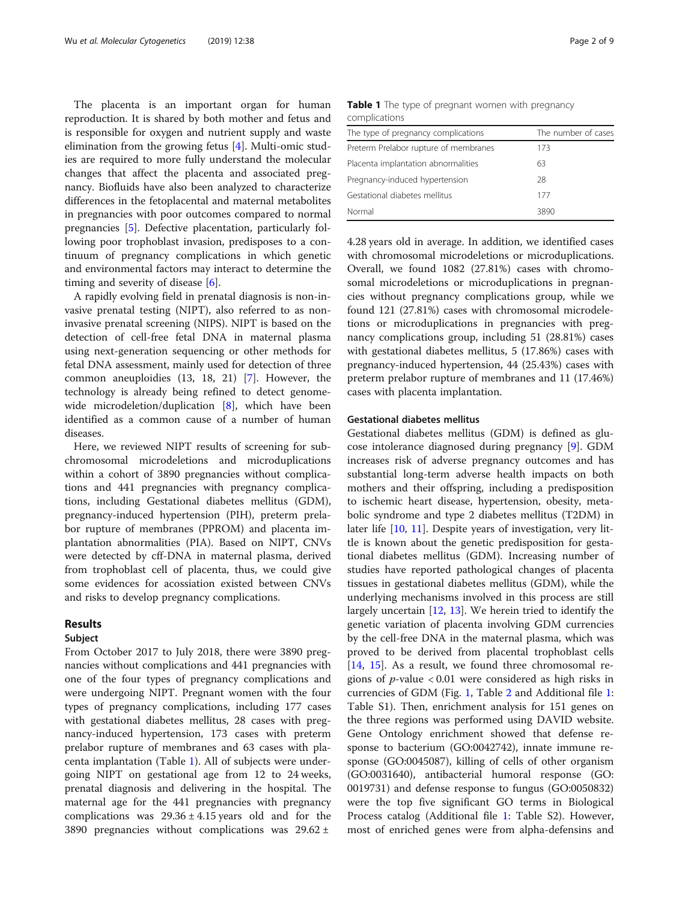The placenta is an important organ for human reproduction. It is shared by both mother and fetus and is responsible for oxygen and nutrient supply and waste elimination from the growing fetus [[4\]](#page-7-0). Multi-omic studies are required to more fully understand the molecular changes that affect the placenta and associated pregnancy. Biofluids have also been analyzed to characterize differences in the fetoplacental and maternal metabolites in pregnancies with poor outcomes compared to normal pregnancies [[5](#page-7-0)]. Defective placentation, particularly following poor trophoblast invasion, predisposes to a continuum of pregnancy complications in which genetic and environmental factors may interact to determine the timing and severity of disease [[6\]](#page-7-0).

A rapidly evolving field in prenatal diagnosis is non-invasive prenatal testing (NIPT), also referred to as noninvasive prenatal screening (NIPS). NIPT is based on the detection of cell-free fetal DNA in maternal plasma using next-generation sequencing or other methods for fetal DNA assessment, mainly used for detection of three common aneuploidies (13, 18, 21) [[7\]](#page-7-0). However, the technology is already being refined to detect genome-wide microdeletion/duplication [\[8](#page-7-0)], which have been identified as a common cause of a number of human diseases.

Here, we reviewed NIPT results of screening for subchromosomal microdeletions and microduplications within a cohort of 3890 pregnancies without complications and 441 pregnancies with pregnancy complications, including Gestational diabetes mellitus (GDM), pregnancy-induced hypertension (PIH), preterm prelabor rupture of membranes (PPROM) and placenta implantation abnormalities (PIA). Based on NIPT, CNVs were detected by cff-DNA in maternal plasma, derived from trophoblast cell of placenta, thus, we could give some evidences for acossiation existed between CNVs and risks to develop pregnancy complications.

### Results

#### Subject

From October 2017 to July 2018, there were 3890 pregnancies without complications and 441 pregnancies with one of the four types of pregnancy complications and were undergoing NIPT. Pregnant women with the four types of pregnancy complications, including 177 cases with gestational diabetes mellitus, 28 cases with pregnancy-induced hypertension, 173 cases with preterm prelabor rupture of membranes and 63 cases with placenta implantation (Table 1). All of subjects were undergoing NIPT on gestational age from 12 to 24 weeks, prenatal diagnosis and delivering in the hospital. The maternal age for the 441 pregnancies with pregnancy complications was  $29.36 \pm 4.15$  years old and for the 3890 pregnancies without complications was  $29.62 \pm$ 

|               |  | Table 1 The type of pregnant women with pregnancy |
|---------------|--|---------------------------------------------------|
| complications |  |                                                   |

| The type of pregnancy complications   | The number of cases |
|---------------------------------------|---------------------|
| Preterm Prelabor rupture of membranes | 173                 |
| Placenta implantation abnormalities   | 63                  |
| Pregnancy-induced hypertension        | 28                  |
| Gestational diabetes mellitus         | 177                 |
| Normal                                | 3890                |

4.28 years old in average. In addition, we identified cases with chromosomal microdeletions or microduplications. Overall, we found 1082 (27.81%) cases with chromosomal microdeletions or microduplications in pregnancies without pregnancy complications group, while we found 121 (27.81%) cases with chromosomal microdeletions or microduplications in pregnancies with pregnancy complications group, including 51 (28.81%) cases with gestational diabetes mellitus, 5 (17.86%) cases with pregnancy-induced hypertension, 44 (25.43%) cases with preterm prelabor rupture of membranes and 11 (17.46%) cases with placenta implantation.

### Gestational diabetes mellitus

Gestational diabetes mellitus (GDM) is defined as glucose intolerance diagnosed during pregnancy [[9\]](#page-7-0). GDM increases risk of adverse pregnancy outcomes and has substantial long-term adverse health impacts on both mothers and their offspring, including a predisposition to ischemic heart disease, hypertension, obesity, metabolic syndrome and type 2 diabetes mellitus (T2DM) in later life [\[10](#page-7-0), [11\]](#page-7-0). Despite years of investigation, very little is known about the genetic predisposition for gestational diabetes mellitus (GDM). Increasing number of studies have reported pathological changes of placenta tissues in gestational diabetes mellitus (GDM), while the underlying mechanisms involved in this process are still largely uncertain [\[12](#page-7-0), [13](#page-7-0)]. We herein tried to identify the genetic variation of placenta involving GDM currencies by the cell-free DNA in the maternal plasma, which was proved to be derived from placental trophoblast cells [[14,](#page-7-0) [15](#page-7-0)]. As a result, we found three chromosomal regions of *p*-value  $< 0.01$  were considered as high risks in currencies of GDM (Fig. [1,](#page-2-0) Table [2](#page-2-0) and Additional file [1](#page-6-0): Table S1). Then, enrichment analysis for 151 genes on the three regions was performed using DAVID website. Gene Ontology enrichment showed that defense response to bacterium (GO:0042742), innate immune response (GO:0045087), killing of cells of other organism (GO:0031640), antibacterial humoral response (GO: 0019731) and defense response to fungus (GO:0050832) were the top five significant GO terms in Biological Process catalog (Additional file [1:](#page-6-0) Table S2). However, most of enriched genes were from alpha-defensins and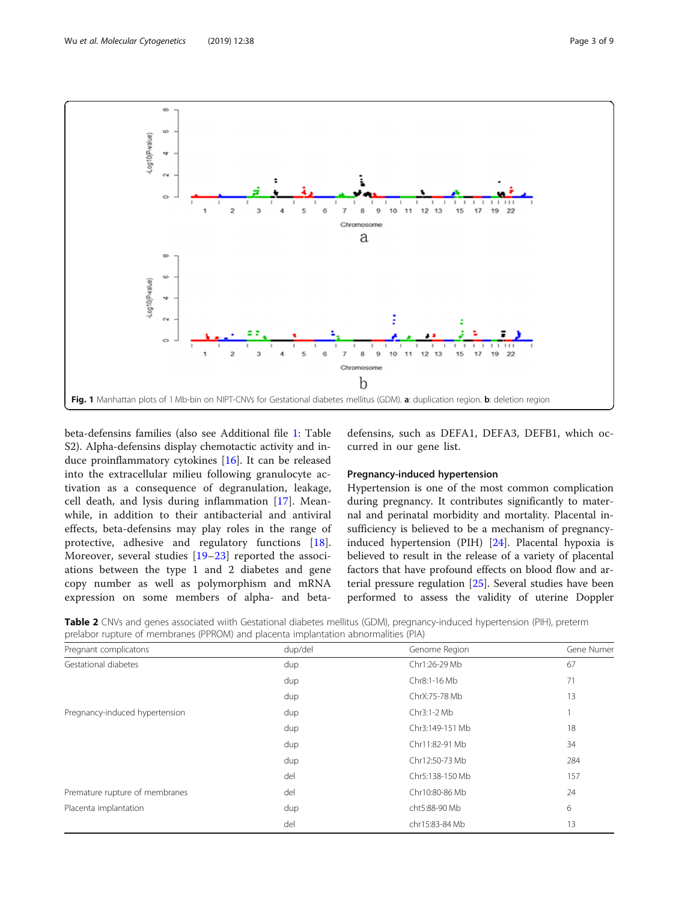<span id="page-2-0"></span>

beta-defensins families (also see Additional file [1:](#page-6-0) Table S2). Alpha-defensins display chemotactic activity and induce proinflammatory cytokines [\[16](#page-7-0)]. It can be released into the extracellular milieu following granulocyte activation as a consequence of degranulation, leakage, cell death, and lysis during inflammation [\[17](#page-7-0)]. Meanwhile, in addition to their antibacterial and antiviral effects, beta-defensins may play roles in the range of protective, adhesive and regulatory functions [\[18](#page-7-0)]. Moreover, several studies [\[19](#page-7-0)–[23](#page-7-0)] reported the associations between the type 1 and 2 diabetes and gene copy number as well as polymorphism and mRNA expression on some members of alpha- and betadefensins, such as DEFA1, DEFA3, DEFB1, which occurred in our gene list.

## Pregnancy-induced hypertension

Hypertension is one of the most common complication during pregnancy. It contributes significantly to maternal and perinatal morbidity and mortality. Placental insufficiency is believed to be a mechanism of pregnancyinduced hypertension (PIH) [\[24](#page-7-0)]. Placental hypoxia is believed to result in the release of a variety of placental factors that have profound effects on blood flow and arterial pressure regulation [[25](#page-7-0)]. Several studies have been performed to assess the validity of uterine Doppler

Table 2 CNVs and genes associated wiith Gestational diabetes mellitus (GDM), pregnancy-induced hypertension (PIH), preterm prelabor rupture of membranes (PPROM) and placenta implantation abnormalities (PIA)

| Pregnant complicatons          | dup/del | Genome Region   | Gene Numer |
|--------------------------------|---------|-----------------|------------|
| Gestational diabetes           | dup     | Chr1:26-29 Mb   | 67         |
|                                | dup     | Chr8:1-16 Mb    | 71         |
|                                | dup     | ChrX:75-78 Mb   | 13         |
| Pregnancy-induced hypertension | dup     | Chr3:1-2 Mb     |            |
|                                | dup     | Chr3:149-151 Mb | 18         |
|                                | dup     | Chr11:82-91 Mb  | 34         |
|                                | dup     | Chr12:50-73 Mb  | 284        |
|                                | del     | Chr5:138-150 Mb | 157        |
| Premature rupture of membranes | del     | Chr10:80-86 Mb  | 24         |
| Placenta implantation          | dup     | cht5:88-90 Mb   | 6          |
|                                | del     | chr15:83-84 Mb  | 13         |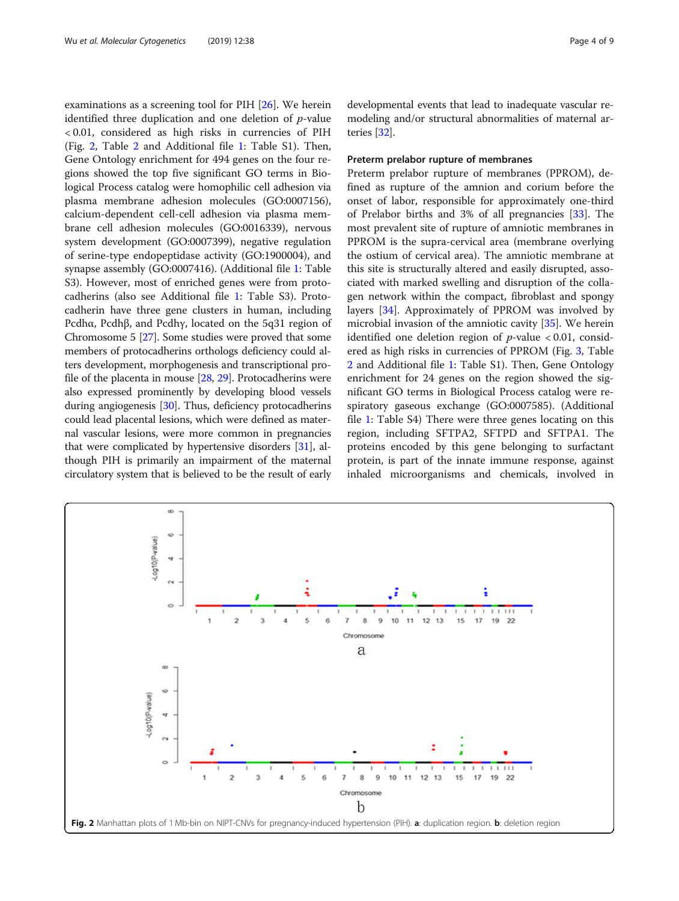examinations as a screening tool for PIH [[26](#page-7-0)]. We herein identified three duplication and one deletion of  $p$ -value < 0.01, considered as high risks in currencies of PIH (Fig. 2, Table [2](#page-2-0) and Additional file [1:](#page-6-0) Table S1). Then, Gene Ontology enrichment for 494 genes on the four regions showed the top five significant GO terms in Biological Process catalog were homophilic cell adhesion via plasma membrane adhesion molecules (GO:0007156), calcium-dependent cell-cell adhesion via plasma membrane cell adhesion molecules (GO:0016339), nervous system development (GO:0007399), negative regulation of serine-type endopeptidase activity (GO:1900004), and synapse assembly (GO:0007416). (Additional file [1:](#page-6-0) Table S3). However, most of enriched genes were from protocadherins (also see Additional file [1](#page-6-0): Table S3). Protocadherin have three gene clusters in human, including Pcdhα, Pcdhβ, and Pcdhγ, located on the 5q31 region of Chromosome 5 [\[27\]](#page-7-0). Some studies were proved that some members of protocadherins orthologs deficiency could alters development, morphogenesis and transcriptional profile of the placenta in mouse [\[28,](#page-7-0) [29](#page-7-0)]. Protocadherins were also expressed prominently by developing blood vessels during angiogenesis [\[30\]](#page-7-0). Thus, deficiency protocadherins could lead placental lesions, which were defined as maternal vascular lesions, were more common in pregnancies that were complicated by hypertensive disorders [[31](#page-7-0)], although PIH is primarily an impairment of the maternal circulatory system that is believed to be the result of early developmental events that lead to inadequate vascular remodeling and/or structural abnormalities of maternal arteries [[32\]](#page-7-0).

# Preterm prelabor rupture of membranes

Preterm prelabor rupture of membranes (PPROM), defined as rupture of the amnion and corium before the onset of labor, responsible for approximately one-third of Prelabor births and 3% of all pregnancies [[33\]](#page-7-0). The most prevalent site of rupture of amniotic membranes in PPROM is the supra-cervical area (membrane overlying the ostium of cervical area). The amniotic membrane at this site is structurally altered and easily disrupted, associated with marked swelling and disruption of the collagen network within the compact, fibroblast and spongy layers [[34](#page-7-0)]. Approximately of PPROM was involved by microbial invasion of the amniotic cavity [[35](#page-8-0)]. We herein identified one deletion region of  $p$ -value < 0.01, considered as high risks in currencies of PPROM (Fig. [3](#page-4-0), Table [2](#page-2-0) and Additional file [1](#page-6-0): Table S1). Then, Gene Ontology enrichment for 24 genes on the region showed the significant GO terms in Biological Process catalog were respiratory gaseous exchange (GO:0007585). (Additional file [1](#page-6-0): Table S4) There were three genes locating on this region, including SFTPA2, SFTPD and SFTPA1. The proteins encoded by this gene belonging to surfactant protein, is part of the innate immune response, against inhaled microorganisms and chemicals, involved in

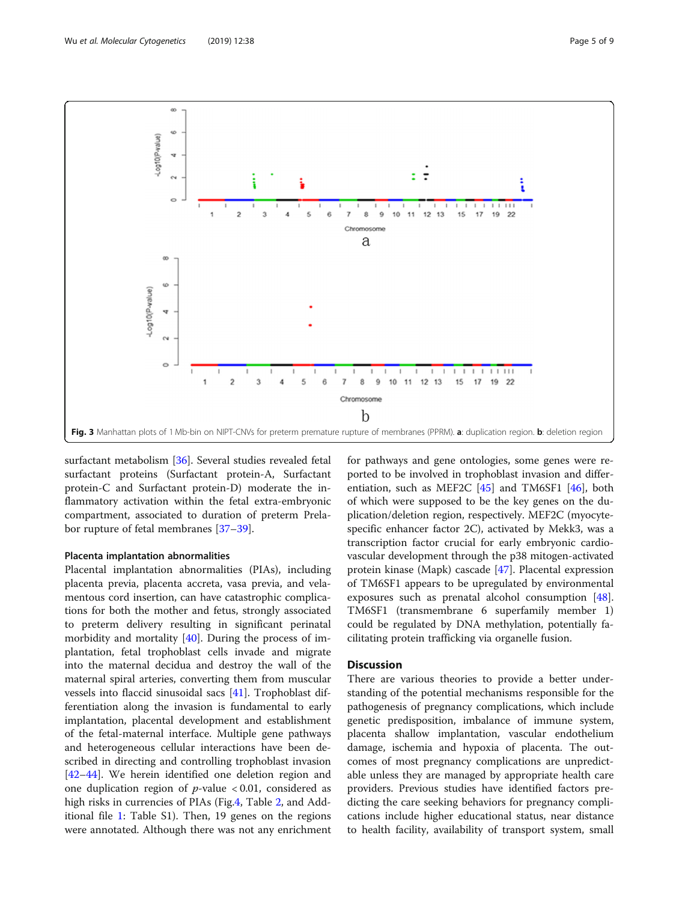<span id="page-4-0"></span>

surfactant metabolism [\[36](#page-8-0)]. Several studies revealed fetal surfactant proteins (Surfactant protein-A, Surfactant protein-C and Surfactant protein-D) moderate the inflammatory activation within the fetal extra-embryonic compartment, associated to duration of preterm Prelabor rupture of fetal membranes [\[37](#page-8-0)–[39\]](#page-8-0).

#### Placenta implantation abnormalities

Placental implantation abnormalities (PIAs), including placenta previa, placenta accreta, vasa previa, and velamentous cord insertion, can have catastrophic complications for both the mother and fetus, strongly associated to preterm delivery resulting in significant perinatal morbidity and mortality [[40\]](#page-8-0). During the process of implantation, fetal trophoblast cells invade and migrate into the maternal decidua and destroy the wall of the maternal spiral arteries, converting them from muscular vessels into flaccid sinusoidal sacs [\[41](#page-8-0)]. Trophoblast differentiation along the invasion is fundamental to early implantation, placental development and establishment of the fetal-maternal interface. Multiple gene pathways and heterogeneous cellular interactions have been described in directing and controlling trophoblast invasion [[42](#page-8-0)–[44](#page-8-0)]. We herein identified one deletion region and one duplication region of  $p$ -value < 0.01, considered as high risks in currencies of PIAs (Fig.[4,](#page-5-0) Table [2,](#page-2-0) and Additional file [1:](#page-6-0) Table S1). Then, 19 genes on the regions were annotated. Although there was not any enrichment for pathways and gene ontologies, some genes were reported to be involved in trophoblast invasion and differentiation, such as MEF2C  $[45]$  $[45]$  and TM6SF1  $[46]$  $[46]$  $[46]$ , both of which were supposed to be the key genes on the duplication/deletion region, respectively. MEF2C (myocytespecific enhancer factor 2C), activated by Mekk3, was a transcription factor crucial for early embryonic cardiovascular development through the p38 mitogen-activated protein kinase (Mapk) cascade [[47\]](#page-8-0). Placental expression of TM6SF1 appears to be upregulated by environmental exposures such as prenatal alcohol consumption [\[48](#page-8-0)]. TM6SF1 (transmembrane 6 superfamily member 1) could be regulated by DNA methylation, potentially facilitating protein trafficking via organelle fusion.

# **Discussion**

There are various theories to provide a better understanding of the potential mechanisms responsible for the pathogenesis of pregnancy complications, which include genetic predisposition, imbalance of immune system, placenta shallow implantation, vascular endothelium damage, ischemia and hypoxia of placenta. The outcomes of most pregnancy complications are unpredictable unless they are managed by appropriate health care providers. Previous studies have identified factors predicting the care seeking behaviors for pregnancy complications include higher educational status, near distance to health facility, availability of transport system, small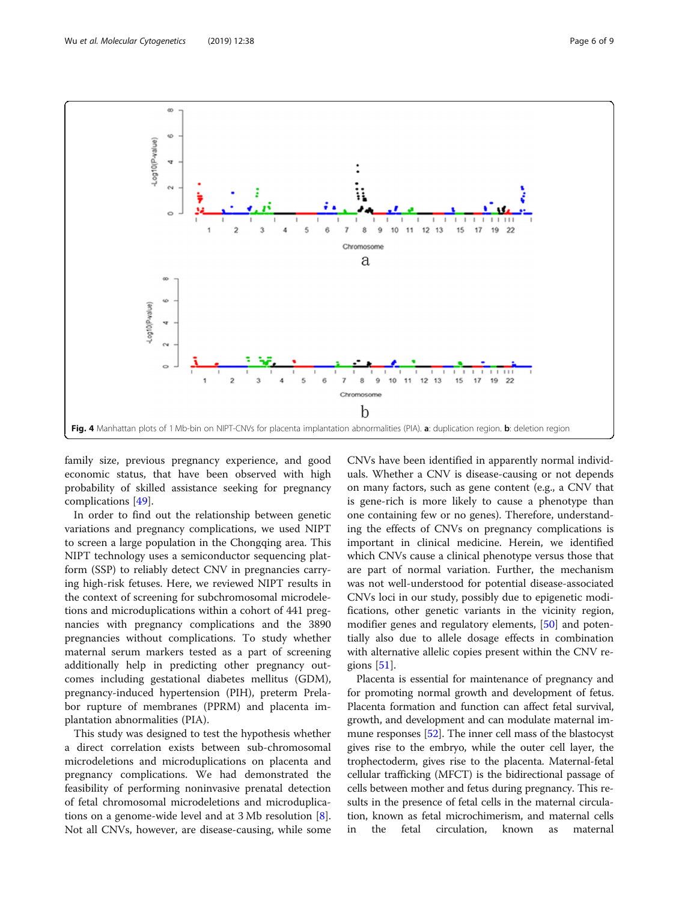<span id="page-5-0"></span>

family size, previous pregnancy experience, and good economic status, that have been observed with high probability of skilled assistance seeking for pregnancy complications [[49](#page-8-0)].

In order to find out the relationship between genetic variations and pregnancy complications, we used NIPT to screen a large population in the Chongqing area. This NIPT technology uses a semiconductor sequencing platform (SSP) to reliably detect CNV in pregnancies carrying high-risk fetuses. Here, we reviewed NIPT results in the context of screening for subchromosomal microdeletions and microduplications within a cohort of 441 pregnancies with pregnancy complications and the 3890 pregnancies without complications. To study whether maternal serum markers tested as a part of screening additionally help in predicting other pregnancy outcomes including gestational diabetes mellitus (GDM), pregnancy-induced hypertension (PIH), preterm Prelabor rupture of membranes (PPRM) and placenta implantation abnormalities (PIA).

This study was designed to test the hypothesis whether a direct correlation exists between sub-chromosomal microdeletions and microduplications on placenta and pregnancy complications. We had demonstrated the feasibility of performing noninvasive prenatal detection of fetal chromosomal microdeletions and microduplications on a genome-wide level and at  $3 \text{ Mb resolution } [8]$  $3 \text{ Mb resolution } [8]$  $3 \text{ Mb resolution } [8]$ . Not all CNVs, however, are disease-causing, while some

CNVs have been identified in apparently normal individuals. Whether a CNV is disease-causing or not depends on many factors, such as gene content (e.g., a CNV that is gene-rich is more likely to cause a phenotype than one containing few or no genes). Therefore, understanding the effects of CNVs on pregnancy complications is important in clinical medicine. Herein, we identified which CNVs cause a clinical phenotype versus those that are part of normal variation. Further, the mechanism was not well-understood for potential disease-associated CNVs loci in our study, possibly due to epigenetic modifications, other genetic variants in the vicinity region, modifier genes and regulatory elements, [[50\]](#page-8-0) and potentially also due to allele dosage effects in combination with alternative allelic copies present within the CNV regions [\[51](#page-8-0)].

Placenta is essential for maintenance of pregnancy and for promoting normal growth and development of fetus. Placenta formation and function can affect fetal survival, growth, and development and can modulate maternal immune responses [\[52\]](#page-8-0). The inner cell mass of the blastocyst gives rise to the embryo, while the outer cell layer, the trophectoderm, gives rise to the placenta. Maternal-fetal cellular trafficking (MFCT) is the bidirectional passage of cells between mother and fetus during pregnancy. This results in the presence of fetal cells in the maternal circulation, known as fetal microchimerism, and maternal cells in the fetal circulation, known as maternal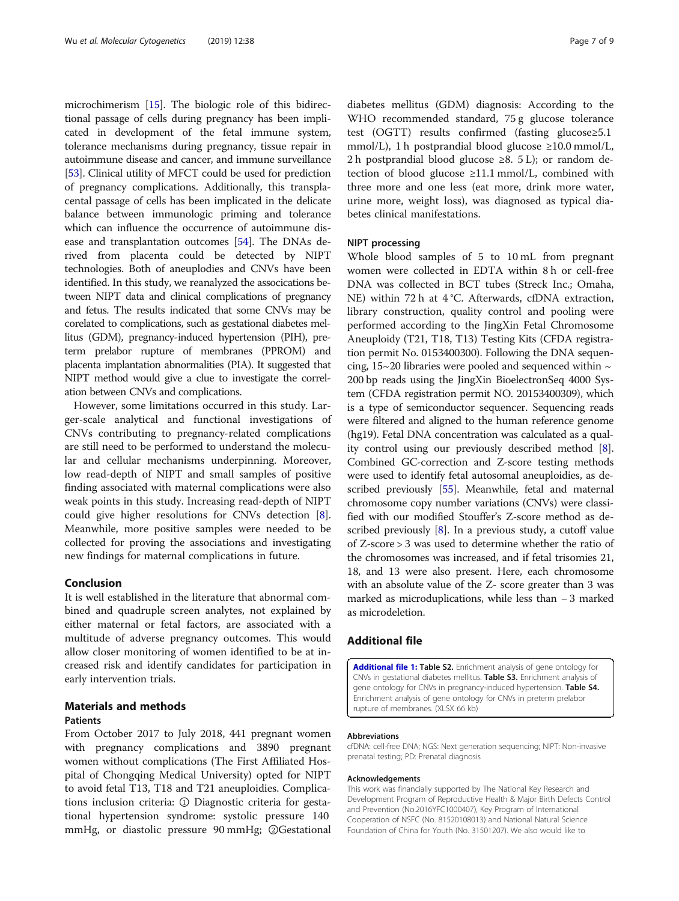<span id="page-6-0"></span>microchimerism [\[15](#page-7-0)]. The biologic role of this bidirectional passage of cells during pregnancy has been implicated in development of the fetal immune system, tolerance mechanisms during pregnancy, tissue repair in autoimmune disease and cancer, and immune surveillance [[53](#page-8-0)]. Clinical utility of MFCT could be used for prediction of pregnancy complications. Additionally, this transplacental passage of cells has been implicated in the delicate balance between immunologic priming and tolerance which can influence the occurrence of autoimmune disease and transplantation outcomes [\[54\]](#page-8-0). The DNAs derived from placenta could be detected by NIPT technologies. Both of aneuplodies and CNVs have been identified. In this study, we reanalyzed the assocications between NIPT data and clinical complications of pregnancy and fetus. The results indicated that some CNVs may be corelated to complications, such as gestational diabetes mellitus (GDM), pregnancy-induced hypertension (PIH), preterm prelabor rupture of membranes (PPROM) and placenta implantation abnormalities (PIA). It suggested that NIPT method would give a clue to investigate the correlation between CNVs and complications.

However, some limitations occurred in this study. Larger-scale analytical and functional investigations of CNVs contributing to pregnancy-related complications are still need to be performed to understand the molecular and cellular mechanisms underpinning. Moreover, low read-depth of NIPT and small samples of positive finding associated with maternal complications were also weak points in this study. Increasing read-depth of NIPT could give higher resolutions for CNVs detection [\[8](#page-7-0)]. Meanwhile, more positive samples were needed to be collected for proving the associations and investigating new findings for maternal complications in future.

# Conclusion

It is well established in the literature that abnormal combined and quadruple screen analytes, not explained by either maternal or fetal factors, are associated with a multitude of adverse pregnancy outcomes. This would allow closer monitoring of women identified to be at increased risk and identify candidates for participation in early intervention trials.

# Materials and methods

# Patients

From October 2017 to July 2018, 441 pregnant women with pregnancy complications and 3890 pregnant women without complications (The First Affiliated Hospital of Chongqing Medical University) opted for NIPT to avoid fetal T13, T18 and T21 aneuploidies. Complications inclusion criteria: ① Diagnostic criteria for gestational hypertension syndrome: systolic pressure 140 mmHg, or diastolic pressure 90 mmHg; ②Gestational diabetes mellitus (GDM) diagnosis: According to the WHO recommended standard, 75 g glucose tolerance test (OGTT) results confirmed (fasting glucose≥5.1 mmol/L), 1 h postprandial blood glucose  $\geq 10.0$  mmol/L, 2 h postprandial blood glucose  $\geq 8$ . 5 L); or random detection of blood glucose  $\geq 11.1$  mmol/L, combined with three more and one less (eat more, drink more water, urine more, weight loss), was diagnosed as typical diabetes clinical manifestations.

### NIPT processing

Whole blood samples of 5 to 10 mL from pregnant women were collected in EDTA within 8 h or cell-free DNA was collected in BCT tubes (Streck Inc.; Omaha, NE) within 72 h at 4 °C. Afterwards, cfDNA extraction, library construction, quality control and pooling were performed according to the JingXin Fetal Chromosome Aneuploidy (T21, T18, T13) Testing Kits (CFDA registration permit No. 0153400300). Following the DNA sequencing, 15~20 libraries were pooled and sequenced within  $\sim$ 200 bp reads using the JingXin BioelectronSeq 4000 System (CFDA registration permit NO. 20153400309), which is a type of semiconductor sequencer. Sequencing reads were filtered and aligned to the human reference genome (hg19). Fetal DNA concentration was calculated as a quality control using our previously described method [[8](#page-7-0)]. Combined GC-correction and Z-score testing methods were used to identify fetal autosomal aneuploidies, as described previously [\[55\]](#page-8-0). Meanwhile, fetal and maternal chromosome copy number variations (CNVs) were classified with our modified Stouffer's Z-score method as described previously [\[8](#page-7-0)]. In a previous study, a cutoff value of Z-score > 3 was used to determine whether the ratio of the chromosomes was increased, and if fetal trisomies 21, 18, and 13 were also present. Here, each chromosome with an absolute value of the Z- score greater than 3 was marked as microduplications, while less than − 3 marked as microdeletion.

# Additional file

[Additional file 1:](https://doi.org/10.1186/s13039-019-0451-3) Table S2. Enrichment analysis of gene ontology for CNVs in gestational diabetes mellitus. Table S3. Enrichment analysis of gene ontology for CNVs in pregnancy-induced hypertension. Table S4. Enrichment analysis of gene ontology for CNVs in preterm prelabor rupture of membranes. (XLSX 66 kb)

#### Abbreviations

cfDNA: cell-free DNA; NGS: Next generation sequencing; NIPT: Non-invasive prenatal testing; PD: Prenatal diagnosis

#### Acknowledgements

This work was financially supported by The National Key Research and Development Program of Reproductive Health & Major Birth Defects Control and Prevention (No.2016YFC1000407), Key Program of International Cooperation of NSFC (No. 81520108013) and National Natural Science Foundation of China for Youth (No. 31501207). We also would like to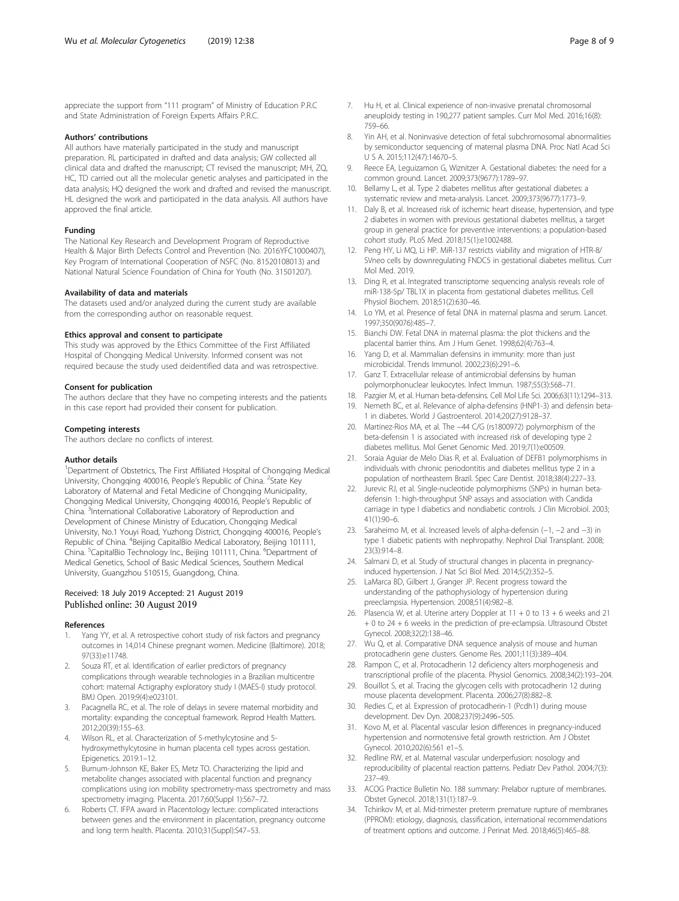<span id="page-7-0"></span>appreciate the support from "111 program" of Ministry of Education P.R.C and State Administration of Foreign Experts Affairs P.R.C.

#### Authors' contributions

All authors have materially participated in the study and manuscript preparation. RL participated in drafted and data analysis; GW collected all clinical data and drafted the manuscript; CT revised the manuscript; MH, ZQ, HC, TD carried out all the molecular genetic analyses and participated in the data analysis; HQ designed the work and drafted and revised the manuscript. HL designed the work and participated in the data analysis. All authors have approved the final article.

#### Funding

The National Key Research and Development Program of Reproductive Health & Major Birth Defects Control and Prevention (No. 2016YFC1000407), Key Program of International Cooperation of NSFC (No. 81520108013) and National Natural Science Foundation of China for Youth (No. 31501207).

#### Availability of data and materials

The datasets used and/or analyzed during the current study are available from the corresponding author on reasonable request.

#### Ethics approval and consent to participate

This study was approved by the Ethics Committee of the First Affiliated Hospital of Chongqing Medical University. Informed consent was not required because the study used deidentified data and was retrospective.

#### Consent for publication

The authors declare that they have no competing interests and the patients in this case report had provided their consent for publication.

#### Competing interests

The authors declare no conflicts of interest.

#### Author details

<sup>1</sup>Department of Obstetrics, The First Affiliated Hospital of Chongqing Medical University, Chongqing 400016, People's Republic of China. <sup>2</sup>State Key Laboratory of Maternal and Fetal Medicine of Chongqing Municipality, Chongqing Medical University, Chongqing 400016, People's Republic of China. <sup>3</sup>International Collaborative Laboratory of Reproduction and Development of Chinese Ministry of Education, Chongqing Medical University, No.1 Youyi Road, Yuzhong District, Chongqing 400016, People's Republic of China. <sup>4</sup>Beijing CapitalBio Medical Laboratory, Beijing 101111, China. <sup>5</sup>CapitalBio Technology Inc., Beijing 101111, China. <sup>6</sup>Department of Medical Genetics, School of Basic Medical Sciences, Southern Medical University, Guangzhou 510515, Guangdong, China.

#### Received: 18 July 2019 Accepted: 21 August 2019 Published online: 30 August 2019

#### References

- Yang YY, et al. A retrospective cohort study of risk factors and pregnancy outcomes in 14,014 Chinese pregnant women. Medicine (Baltimore). 2018; 97(33):e11748.
- 2. Souza RT, et al. Identification of earlier predictors of pregnancy complications through wearable technologies in a Brazilian multicentre cohort: maternal Actigraphy exploratory study I (MAES-I) study protocol. BMJ Open. 2019;9(4):e023101.
- 3. Pacagnella RC, et al. The role of delays in severe maternal morbidity and mortality: expanding the conceptual framework. Reprod Health Matters. 2012;20(39):155–63.
- Wilson RL, et al. Characterization of 5-methylcytosine and 5hydroxymethylcytosine in human placenta cell types across gestation. Epigenetics. 2019:1–12.
- Burnum-Johnson KE, Baker ES, Metz TO. Characterizing the lipid and metabolite changes associated with placental function and pregnancy complications using ion mobility spectrometry-mass spectrometry and mass spectrometry imaging. Placenta. 2017;60(Suppl 1):S67–72.
- Roberts CT. IFPA award in Placentology lecture: complicated interactions between genes and the environment in placentation, pregnancy outcome and long term health. Placenta. 2010;31(Suppl):S47–53.
- 7. Hu H, et al. Clinical experience of non-invasive prenatal chromosomal aneuploidy testing in 190,277 patient samples. Curr Mol Med. 2016;16(8): 759–66.
- 8. Yin AH, et al. Noninvasive detection of fetal subchromosomal abnormalities by semiconductor sequencing of maternal plasma DNA. Proc Natl Acad Sci U S A. 2015;112(47):14670–5.
- 9. Reece EA, Leguizamon G, Wiznitzer A. Gestational diabetes: the need for a common ground. Lancet. 2009;373(9677):1789–97.
- 10. Bellamy L, et al. Type 2 diabetes mellitus after gestational diabetes: a systematic review and meta-analysis. Lancet. 2009;373(9677):1773–9.
- 11. Daly B, et al. Increased risk of ischemic heart disease, hypertension, and type 2 diabetes in women with previous gestational diabetes mellitus, a target group in general practice for preventive interventions: a population-based cohort study. PLoS Med. 2018;15(1):e1002488.
- 12. Peng HY, Li MQ, Li HP. MiR-137 restricts viability and migration of HTR-8/ SVneo cells by downregulating FNDC5 in gestational diabetes mellitus. Curr Mol Med. 2019.
- 13. Ding R, et al. Integrated transcriptome sequencing analysis reveals role of miR-138-5p/ TBL1X in placenta from gestational diabetes mellitus. Cell Physiol Biochem. 2018;51(2):630–46.
- 14. Lo YM, et al. Presence of fetal DNA in maternal plasma and serum. Lancet. 1997;350(9076):485–7.
- 15. Bianchi DW. Fetal DNA in maternal plasma: the plot thickens and the placental barrier thins. Am J Hum Genet. 1998;62(4):763–4.
- Yang D, et al. Mammalian defensins in immunity: more than just microbicidal. Trends Immunol. 2002;23(6):291–6.
- 17. Ganz T. Extracellular release of antimicrobial defensins by human polymorphonuclear leukocytes. Infect Immun. 1987;55(3):568–71.
- 18. Pazgier M, et al. Human beta-defensins. Cell Mol Life Sci. 2006;63(11):1294–313.
- 19. Nemeth BC, et al. Relevance of alpha-defensins (HNP1-3) and defensin beta-1 in diabetes. World J Gastroenterol. 2014;20(27):9128–37.
- 20. Martinez-Rios MA, et al. The −44 C/G (rs1800972) polymorphism of the beta-defensin 1 is associated with increased risk of developing type 2 diabetes mellitus. Mol Genet Genomic Med. 2019;7(1):e00509.
- 21. Soraia Aguiar de Melo Dias R, et al. Evaluation of DEFB1 polymorphisms in individuals with chronic periodontitis and diabetes mellitus type 2 in a population of northeastern Brazil. Spec Care Dentist. 2018;38(4):227–33.
- 22. Jurevic RJ, et al. Single-nucleotide polymorphisms (SNPs) in human betadefensin 1: high-throughput SNP assays and association with Candida carriage in type I diabetics and nondiabetic controls. J Clin Microbiol. 2003; 41(1):90–6.
- 23. Saraheimo M, et al. Increased levels of alpha-defensin (−1, −2 and −3) in type 1 diabetic patients with nephropathy. Nephrol Dial Transplant. 2008; 23(3):914–8.
- 24. Salmani D, et al. Study of structural changes in placenta in pregnancyinduced hypertension. J Nat Sci Biol Med. 2014;5(2):352–5.
- 25. LaMarca BD, Gilbert J, Granger JP. Recent progress toward the understanding of the pathophysiology of hypertension during preeclampsia. Hypertension. 2008;51(4):982–8.
- 26. Plasencia W, et al. Uterine artery Doppler at  $11 + 0$  to  $13 + 6$  weeks and 21 + 0 to 24 + 6 weeks in the prediction of pre-eclampsia. Ultrasound Obstet Gynecol. 2008;32(2):138–46.
- 27. Wu Q, et al. Comparative DNA sequence analysis of mouse and human protocadherin gene clusters. Genome Res. 2001;11(3):389–404.
- 28. Rampon C, et al. Protocadherin 12 deficiency alters morphogenesis and transcriptional profile of the placenta. Physiol Genomics. 2008;34(2):193–204.
- 29. Bouillot S, et al. Tracing the glycogen cells with protocadherin 12 during mouse placenta development. Placenta. 2006;27(8):882–8.
- 30. Redies C, et al. Expression of protocadherin-1 (Pcdh1) during mouse development. Dev Dyn. 2008;237(9):2496–505.
- 31. Kovo M, et al. Placental vascular lesion differences in pregnancy-induced hypertension and normotensive fetal growth restriction. Am J Obstet Gynecol. 2010;202(6):561 e1–5.
- 32. Redline RW, et al. Maternal vascular underperfusion: nosology and reproducibility of placental reaction patterns. Pediatr Dev Pathol. 2004;7(3): 237–49.
- 33. ACOG Practice Bulletin No. 188 summary: Prelabor rupture of membranes. Obstet Gynecol. 2018;131(1):187–9.
- 34. Tchirikov M, et al. Mid-trimester preterm premature rupture of membranes (PPROM): etiology, diagnosis, classification, international recommendations of treatment options and outcome. J Perinat Med. 2018;46(5):465–88.